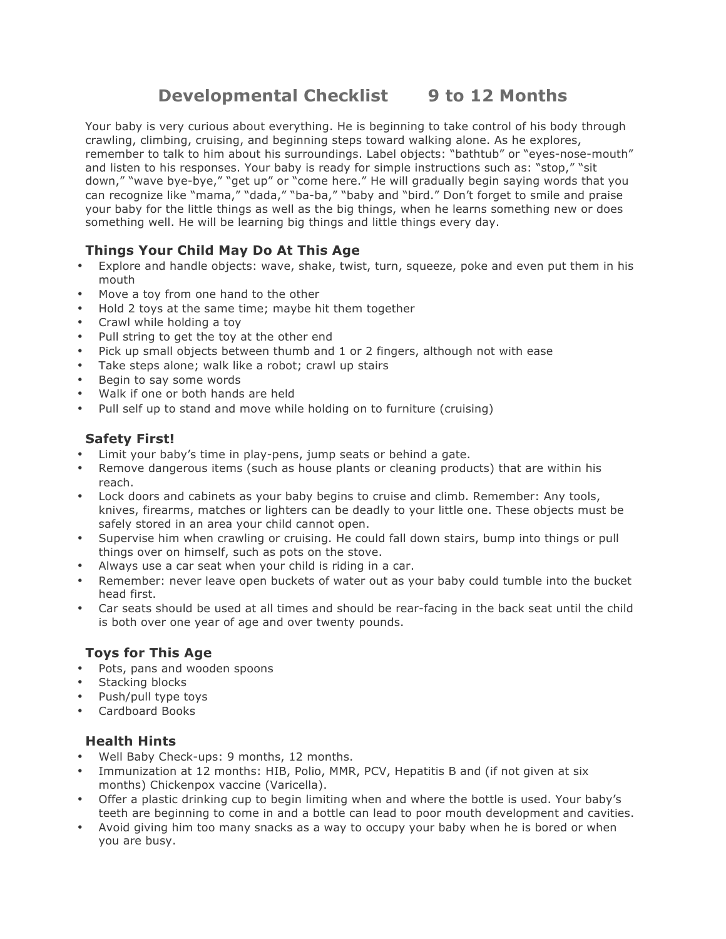# **Developmental Checklist 9 to 12 Months**

Your baby is very curious about everything. He is beginning to take control of his body through crawling, climbing, cruising, and beginning steps toward walking alone. As he explores, remember to talk to him about his surroundings. Label objects: "bathtub" or "eyes-nose-mouth" and listen to his responses. Your baby is ready for simple instructions such as: "stop," "sit down," "wave bye-bye," "get up" or "come here." He will gradually begin saying words that you can recognize like "mama," "dada," "ba-ba," "baby and "bird." Don't forget to smile and praise your baby for the little things as well as the big things, when he learns something new or does something well. He will be learning big things and little things every day.

## **Things Your Child May Do At This Age**

- Explore and handle objects: wave, shake, twist, turn, squeeze, poke and even put them in his mouth
- Move a toy from one hand to the other
- Hold 2 toys at the same time; maybe hit them together
- Crawl while holding a toy
- Pull string to get the toy at the other end
- Pick up small objects between thumb and 1 or 2 fingers, although not with ease
- Take steps alone; walk like a robot; crawl up stairs
- Begin to say some words
- Walk if one or both hands are held
- Pull self up to stand and move while holding on to furniture (cruising)

## **Safety First!**

- Limit your baby's time in play-pens, jump seats or behind a gate.
- Remove dangerous items (such as house plants or cleaning products) that are within his reach.
- Lock doors and cabinets as your baby begins to cruise and climb. Remember: Any tools, knives, firearms, matches or lighters can be deadly to your little one. These objects must be safely stored in an area your child cannot open.
- Supervise him when crawling or cruising. He could fall down stairs, bump into things or pull things over on himself, such as pots on the stove.
- Always use a car seat when your child is riding in a car.
- Remember: never leave open buckets of water out as your baby could tumble into the bucket head first.
- Car seats should be used at all times and should be rear-facing in the back seat until the child is both over one year of age and over twenty pounds.

## **Toys for This Age**

- Pots, pans and wooden spoons
- Stacking blocks
- Push/pull type toys
- Cardboard Books

#### **Health Hints**

- Well Baby Check-ups: 9 months, 12 months.
- Immunization at 12 months: HIB, Polio, MMR, PCV, Hepatitis B and (if not given at six months) Chickenpox vaccine (Varicella).
- Offer a plastic drinking cup to begin limiting when and where the bottle is used. Your baby's teeth are beginning to come in and a bottle can lead to poor mouth development and cavities.
- Avoid giving him too many snacks as a way to occupy your baby when he is bored or when you are busy.